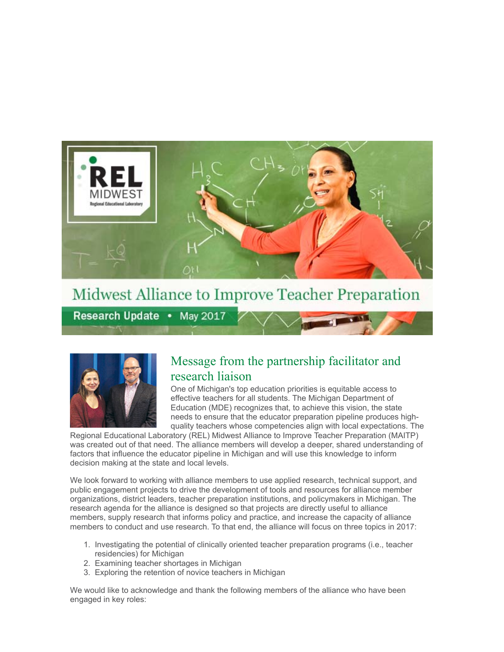

# Midwest Alliance to Improve Teacher Preparation

Research Update • May 2017



## Message from the partnership facilitator and research liaison

 One of Michigan's top education priorities is equitable access to effective teachers for all students. The Michigan Department of Education (MDE) recognizes that, to achieve this vision, the state needs to ensure that the educator preparation pipeline produces high-quality teachers whose competencies align with local expectations. The

 Regional Educational Laboratory (REL) Midwest Alliance to Improve Teacher Preparation (MAITP) was created out of that need. The alliance members will develop a deeper, shared understanding of factors that influence the educator pipeline in Michigan and will use this knowledge to inform decision making at the state and local levels.

 We look forward to working with alliance members to use applied research, technical support, and public engagement projects to drive the development of tools and resources for alliance member organizations, district leaders, teacher preparation institutions, and policymakers in Michigan. The research agenda for the alliance is designed so that projects are directly useful to alliance members, supply research that informs policy and practice, and increase the capacity of alliance members to conduct and use research. To that end, the alliance will focus on three topics in 2017:

- 1. Investigating the potential of clinically oriented teacher preparation programs (i.e., teacher residencies) for Michigan
- 2. Examining teacher shortages in Michigan
- 3. Exploring the retention of novice teachers in Michigan

 We would like to acknowledge and thank the following members of the alliance who have been engaged in key roles: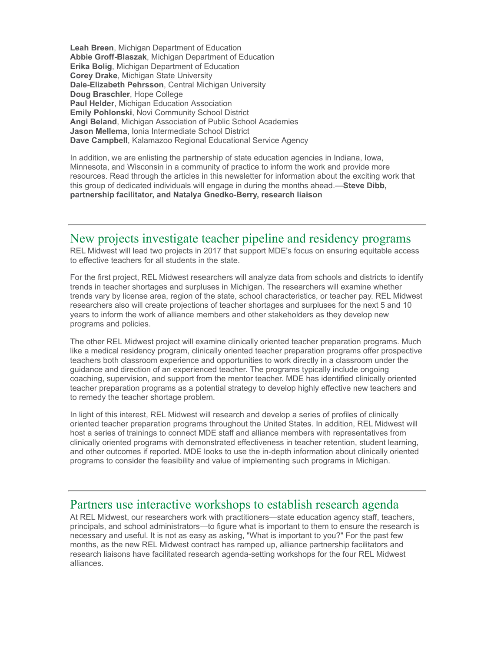**Leah Breen**, Michigan Department of Education **Abbie Groff-Blaszak**, Michigan Department of Education **Erika Bolig**, Michigan Department of Education **Corey Drake**, Michigan State University **Dale-Elizabeth Pehrsson**, Central Michigan University **Doug Braschler**, Hope College **Paul Helder**, Michigan Education Association **Emily Pohlonski**, Novi Community School District **Angi Beland**, Michigan Association of Public School Academies **Jason Mellema**, Ionia Intermediate School District **Dave Campbell**, Kalamazoo Regional Educational Service Agency

In addition, we are enlisting the partnership of state education agencies in Indiana, Iowa, Minnesota, and Wisconsin in a community of practice to inform the work and provide more resources. Read through the articles in this newsletter for information about the exciting work that this group of dedicated individuals will engage in during the months ahead.— **Steve Dibb,**  partnership facilitator, and Natalya Gnedko-Berry, research liaison

### New projects investigate teacher pipeline and residency programs

 REL Midwest will lead two projects in 2017 that support MDE's focus on ensuring equitable access to effective teachers for all students in the state.

 For the first project, REL Midwest researchers will analyze data from schools and districts to identify trends in teacher shortages and surpluses in Michigan. The researchers will examine whether trends vary by license area, region of the state, school characteristics, or teacher pay. REL Midwest researchers also will create projections of teacher shortages and surpluses for the next 5 and 10 years to inform the work of alliance members and other stakeholders as they develop new programs and policies.

 The other REL Midwest project will examine clinically oriented teacher preparation programs. Much like a medical residency program, clinically oriented teacher preparation programs offer prospective teachers both classroom experience and opportunities to work directly in a classroom under the guidance and direction of an experienced teacher. The programs typically include ongoing coaching, supervision, and support from the mentor teacher. MDE has identified clinically oriented teacher preparation programs as a potential strategy to develop highly effective new teachers and to remedy the teacher shortage problem.

 In light of this interest, REL Midwest will research and develop a series of profiles of clinically oriented teacher preparation programs throughout the United States. In addition, REL Midwest will host a series of trainings to connect MDE staff and alliance members with representatives from clinically oriented programs with demonstrated effectiveness in teacher retention, student learning, and other outcomes if reported. MDE looks to use the in-depth information about clinically oriented programs to consider the feasibility and value of implementing such programs in Michigan.

### Partners use interactive workshops to establish research agenda

 At REL Midwest, our researchers work with practitioners—state education agency staff, teachers, principals, and school administrators—to figure what is important to them to ensure the research is necessary and useful. It is not as easy as asking, "What is important to you?" For the past few months, as the new REL Midwest contract has ramped up, alliance partnership facilitators and research liaisons have facilitated research agenda-setting workshops for the four REL Midwest alliances.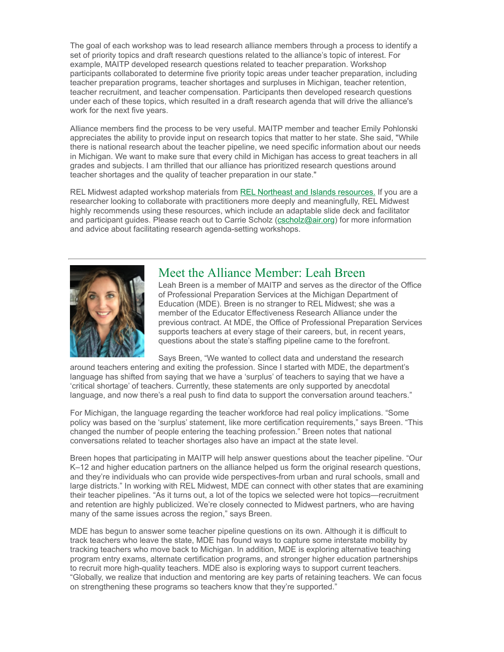The goal of each workshop was to lead research alliance members through a process to identify a set of priority topics and draft research questions related to the alliance's topic of interest. For example, MAITP developed research questions related to teacher preparation. Workshop participants collaborated to determine five priority topic areas under teacher preparation, including teacher preparation programs, teacher shortages and surpluses in Michigan, teacher retention, teacher recruitment, and teacher compensation. Participants then developed research questions under each of these topics, which resulted in a draft research agenda that will drive the alliance's work for the next five years.

 Alliance members find the process to be very useful. MAITP member and teacher Emily Pohlonski appreciates the ability to provide input on research topics that matter to her state. She said, "While there is national research about the teacher pipeline, we need specific information about our needs in Michigan. We want to make sure that every child in Michigan has access to great teachers in all grades and subjects. I am thrilled that our alliance has prioritized research questions around teacher shortages and the quality of teacher preparation in our state."

REL Midwest adapted workshop materials from REL Northeast and Islands resources. If you are a researcher looking to collaborate with practitioners more deeply and meaningfully, REL Midwest highly recommends using these resources, which include an adaptable slide deck and facilitator and participant guides. Please reach out to Carrie Scholz [\(cscholz@air.org\)](mailto:cscholz@air.org) for more information and advice about facilitating research agenda-setting workshops.



### Meet the Alliance Member: Leah Breen

 Leah Breen is a member of MAITP and serves as the director of the Office of Professional Preparation Services at the Michigan Department of Education (MDE). Breen is no stranger to REL Midwest; she was a member of the Educator Effectiveness Research Alliance under the previous contract. At MDE, the Office of Professional Preparation Services supports teachers at every stage of their careers, but, in recent years, questions about the state's staffing pipeline came to the forefront.

Says Breen, "We wanted to collect data and understand the research

 around teachers entering and exiting the profession. Since I started with MDE, the department's language has shifted from saying that we have a 'surplus' of teachers to saying that we have a 'critical shortage' of teachers. Currently, these statements are only supported by anecdotal language, and now there's a real push to find data to support the conversation around teachers."

 For Michigan, the language regarding the teacher workforce had real policy implications. "Some policy was based on the 'surplus' statement, like more certification requirements," says Breen. "This changed the number of people entering the teaching profession." Breen notes that national conversations related to teacher shortages also have an impact at the state level.

 Breen hopes that participating in MAITP will help answer questions about the teacher pipeline. "Our K–12 and higher education partners on the alliance helped us form the original research questions, and they're individuals who can provide wide perspectives-from urban and rural schools, small and large districts." In working with REL Midwest, MDE can connect with other states that are examining their teacher pipelines. "As it turns out, a lot of the topics we selected were hot topics—recruitment and retention are highly publicized. We're closely connected to Midwest partners, who are having many of the same issues across the region," says Breen.

 MDE has begun to answer some teacher pipeline questions on its own. Although it is difficult to track teachers who leave the state, MDE has found ways to capture some interstate mobility by tracking teachers who move back to Michigan. In addition, MDE is exploring alternative teaching program entry exams, alternate certification programs, and stronger higher education partnerships to recruit more high-quality teachers. MDE also is exploring ways to support current teachers. "Globally, we realize that induction and mentoring are key parts of retaining teachers. We can focus on strengthening these programs so teachers know that they're supported."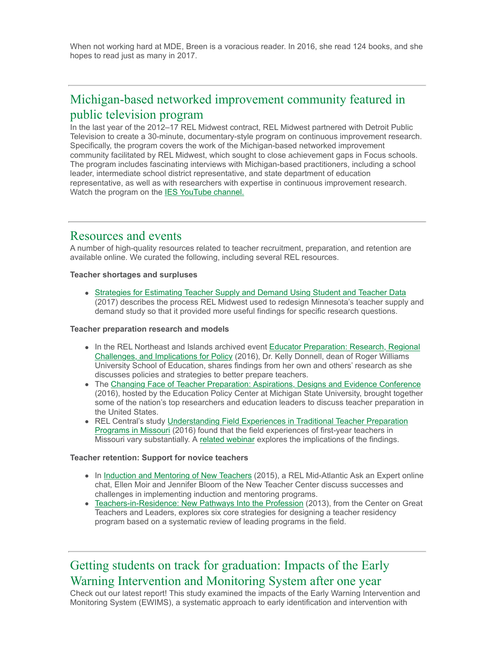When not working hard at MDE, Breen is a voracious reader. In 2016, she read 124 books, and she hopes to read just as many in 2017.

## Michigan-based networked improvement community featured in public television program

 In the last year of the 2012–17 REL Midwest contract, REL Midwest partnered with Detroit Public Television to create a 30-minute, documentary-style program on continuous improvement research. Specifically, the program covers the work of the Michigan-based networked improvement community facilitated by REL Midwest, which sought to close achievement gaps in Focus schools. The program includes fascinating interviews with Michigan-based practitioners, including a school leader, intermediate school district representative, and state department of education representative, as well as with researchers with expertise in continuous improvement research. Watch the program on the **IES YouTube channel.** 

#### Resources and events

 A number of high-quality resources related to teacher recruitment, preparation, and retention are available online. We curated the following, including several REL resources.

 **Teacher shortages and surpluses** 

 [Strategies for Estimating Teacher Supply and Demand Using Student and Teacher Data](https://eric.ed.gov/?id=ED570977)  (2017) describes the process REL Midwest used to redesign Minnesota's teacher supply and demand study so that it provided more useful findings for specific research questions.

#### **Teacher preparation research and models**

- In the REL Northeast and Islands archived event **Educator Preparation: Research, Regional**  [Challenges, and Implications for Policy](https://www.youtube.com/watch?v=myy2ZFIvmbw) (2016), Dr. Kelly Donnell, dean of Roger Williams University School of Education, shares findings from her own and others' research as she discusses policies and strategies to better prepare teachers.
- The [Changing Face of Teacher Preparation: Aspirations, Designs and Evidence Conference](https://www.youtube.com/channel/UCKQiOjfSBe41GEEz9tz6K0Q)  (2016), hosted by the Education Policy Center at Michigan State University, brought together some of the nation's top researchers and education leaders to discuss teacher preparation in the United States.
- [Programs in Missouri](https://ies.ed.gov/ncee/edlabs/projects/project.asp?projectID=350) (2016) found that the field experiences of first-year teachers in Missouri vary substantially. A [related webinar](https://www.youtube.com/watch?v=GHsMwtkX56c) explores the implications of the findings. • REL Central's study Understanding Field Experiences in Traditional Teacher Preparation

#### **Teacher retention: Support for novice teachers**

- In Induction and Mentoring of New Teachers (2015), a REL Mid-Atlantic Ask an Expert online chat, Ellen Moir and Jennifer Bloom of the New Teacher Center discuss successes and challenges in implementing induction and mentoring programs.
- [Teachers-in-Residence: New Pathways Into the Profession](http://www.gtlcenter.org/products-resources/teachers-residence-new-pathways-profession) (2013), from the Center on Great Teachers and Leaders, explores six core strategies for designing a teacher residency program based on a systematic review of leading programs in the field.

## Getting students on track for graduation: Impacts of the Early Warning Intervention and Monitoring System after one year

 Check out our latest report! This study examined the impacts of the Early Warning Intervention and Monitoring System (EWIMS), a systematic approach to early identification and intervention with